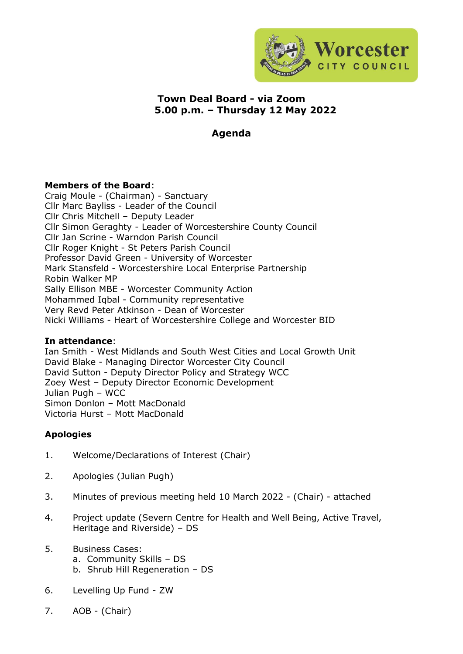

## **Town Deal Board - via Zoom 5.00 p.m. – Thursday 12 May 2022**

# **Agenda**

### **Members of the Board**:

Craig Moule - (Chairman) - Sanctuary Cllr Marc Bayliss - Leader of the Council Cllr Chris Mitchell – Deputy Leader Cllr Simon Geraghty - Leader of Worcestershire County Council Cllr Jan Scrine - Warndon Parish Council Cllr Roger Knight - St Peters Parish Council Professor David Green - University of Worcester Mark Stansfeld - Worcestershire Local Enterprise Partnership Robin Walker MP Sally Ellison MBE - Worcester Community Action Mohammed Iqbal - Community representative Very Revd Peter Atkinson - Dean of Worcester Nicki Williams - Heart of Worcestershire College and Worcester BID

#### **In attendance**:

Ian Smith - West Midlands and South West Cities and Local Growth Unit David Blake - Managing Director Worcester City Council David Sutton - Deputy Director Policy and Strategy WCC Zoey West – Deputy Director Economic Development Julian Pugh – WCC Simon Donlon – Mott MacDonald Victoria Hurst – Mott MacDonald

### **Apologies**

- 1. Welcome/Declarations of Interest (Chair)
- 2. Apologies (Julian Pugh)
- 3. Minutes of previous meeting held 10 March 2022 (Chair) attached
- 4. Project update (Severn Centre for Health and Well Being, Active Travel, Heritage and Riverside) – DS
- 5. Business Cases:
	- a. Community Skills DS
	- b. Shrub Hill Regeneration DS
- 6. Levelling Up Fund ZW
- 7. AOB (Chair)